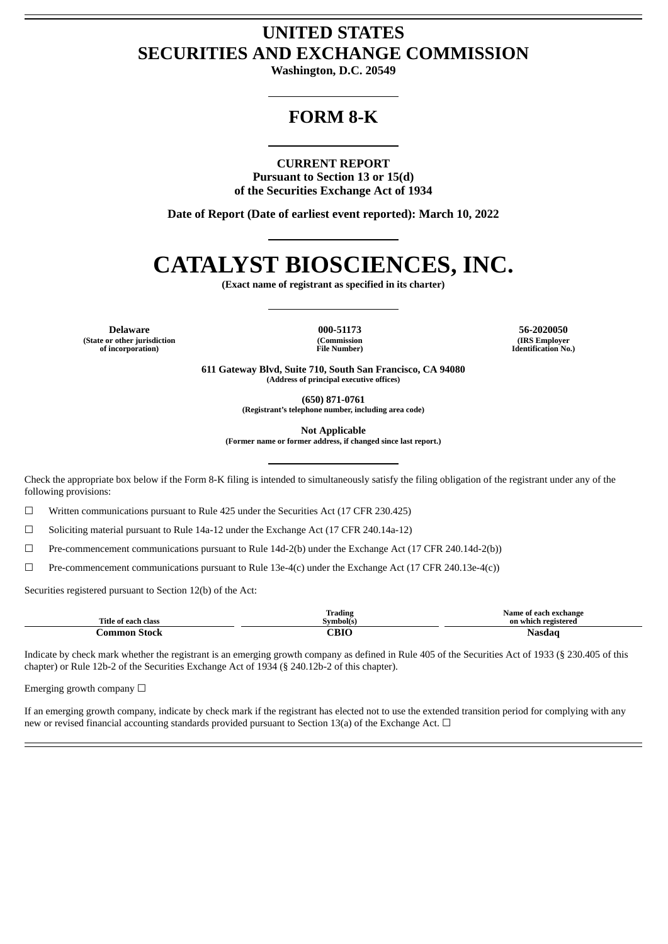# **UNITED STATES SECURITIES AND EXCHANGE COMMISSION**

**Washington, D.C. 20549**

# **FORM 8-K**

# **CURRENT REPORT**

**Pursuant to Section 13 or 15(d) of the Securities Exchange Act of 1934**

**Date of Report (Date of earliest event reported): March 10, 2022**

# **CATALYST BIOSCIENCES, INC.**

**(Exact name of registrant as specified in its charter)**

**Delaware 000-51173 56-2020050 (State or other jurisdiction of incorporation)**

**(Commission File Number)**

**(IRS Employer Identification No.)**

**611 Gateway Blvd, Suite 710, South San Francisco, CA 94080 (Address of principal executive offices)**

**(650) 871-0761**

**(Registrant's telephone number, including area code)**

**Not Applicable**

**(Former name or former address, if changed since last report.)**

Check the appropriate box below if the Form 8-K filing is intended to simultaneously satisfy the filing obligation of the registrant under any of the following provisions:

☐ Written communications pursuant to Rule 425 under the Securities Act (17 CFR 230.425)

☐ Soliciting material pursuant to Rule 14a-12 under the Exchange Act (17 CFR 240.14a-12)

☐ Pre-commencement communications pursuant to Rule 14d-2(b) under the Exchange Act (17 CFR 240.14d-2(b))

 $\Box$  Pre-commencement communications pursuant to Rule 13e-4(c) under the Exchange Act (17 CFR 240.13e-4(c))

Securities registered pursuant to Section 12(b) of the Act:

| Title of each class | <b>CONTRACTOR</b><br>Trading<br>Svmbolís | Name of each exchange<br>. .<br>on which registered |
|---------------------|------------------------------------------|-----------------------------------------------------|
| ammor.<br>stock     | CDIO<br>___                              | Nasda<br>.                                          |

Indicate by check mark whether the registrant is an emerging growth company as defined in Rule 405 of the Securities Act of 1933 (§ 230.405 of this chapter) or Rule 12b-2 of the Securities Exchange Act of 1934 (§ 240.12b-2 of this chapter).

Emerging growth company  $\Box$ 

If an emerging growth company, indicate by check mark if the registrant has elected not to use the extended transition period for complying with any new or revised financial accounting standards provided pursuant to Section 13(a) of the Exchange Act.  $\Box$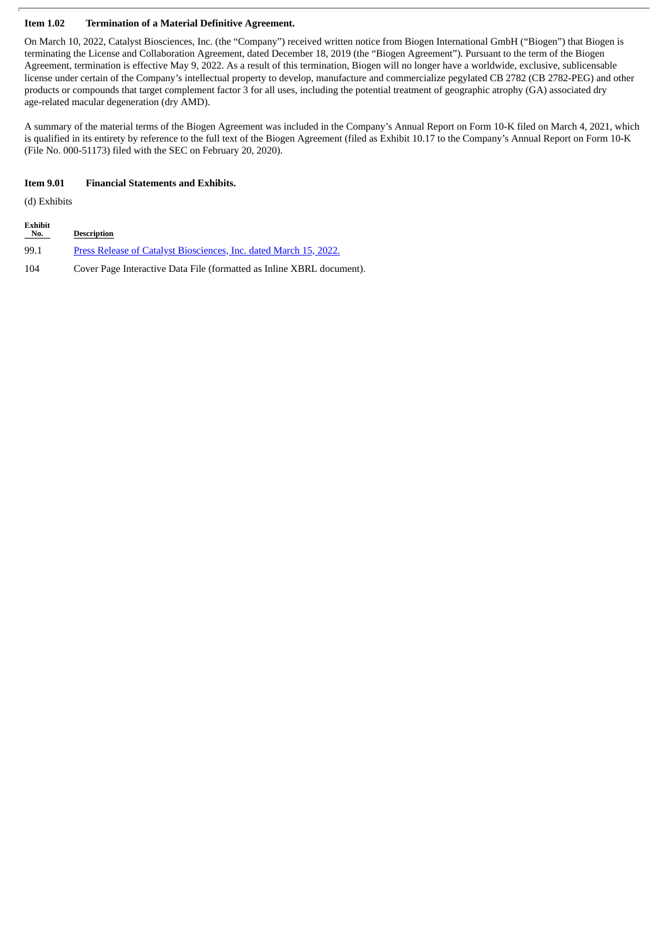# **Item 1.02 Termination of a Material Definitive Agreement.**

On March 10, 2022, Catalyst Biosciences, Inc. (the "Company") received written notice from Biogen International GmbH ("Biogen") that Biogen is terminating the License and Collaboration Agreement, dated December 18, 2019 (the "Biogen Agreement"). Pursuant to the term of the Biogen Agreement, termination is effective May 9, 2022. As a result of this termination, Biogen will no longer have a worldwide, exclusive, sublicensable license under certain of the Company's intellectual property to develop, manufacture and commercialize pegylated CB 2782 (CB 2782-PEG) and other products or compounds that target complement factor 3 for all uses, including the potential treatment of geographic atrophy (GA) associated dry age-related macular degeneration (dry AMD).

A summary of the material terms of the Biogen Agreement was included in the Company's Annual Report on Form 10-K filed on March 4, 2021, which is qualified in its entirety by reference to the full text of the Biogen Agreement (filed as Exhibit 10.17 to the Company's Annual Report on Form 10-K (File No. 000-51173) filed with the SEC on February 20, 2020).

# **Item 9.01 Financial Statements and Exhibits.**

(d) Exhibits

| <b>Exhibit</b><br>No. | <b>Description</b>                                                    |
|-----------------------|-----------------------------------------------------------------------|
| 99.1                  | Press Release of Catalyst Biosciences, Inc. dated March 15, 2022.     |
| 104                   | Cover Page Interactive Data File (formatted as Inline XBRL document). |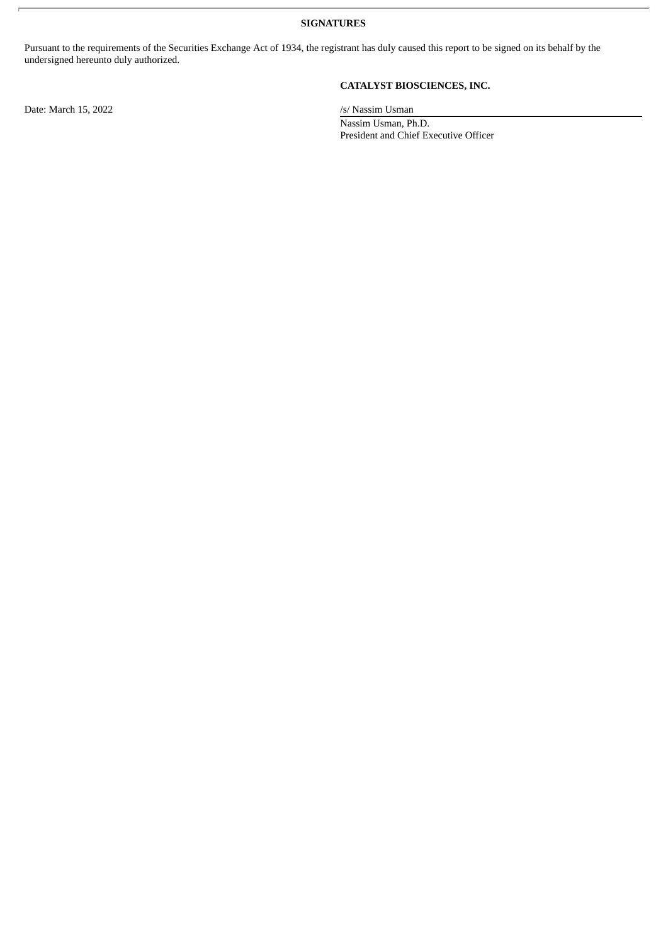**SIGNATURES**

Pursuant to the requirements of the Securities Exchange Act of 1934, the registrant has duly caused this report to be signed on its behalf by the undersigned hereunto duly authorized.

Date: March 15, 2022 /s/ Nassim Usman

# **CATALYST BIOSCIENCES, INC.**

Nassim Usman, Ph.D. President and Chief Executive Officer